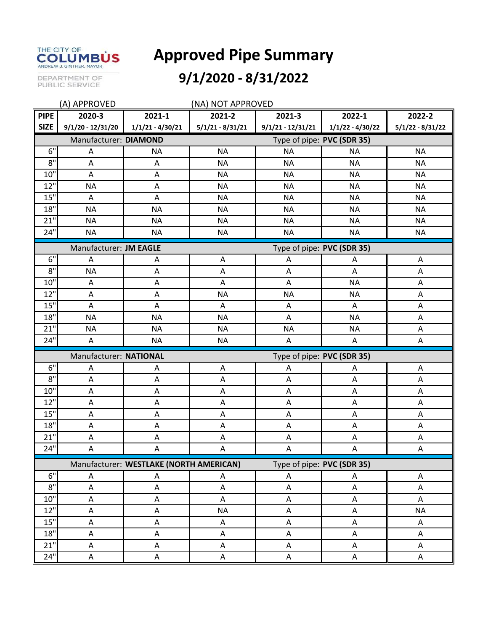

## **Approved Pipe Summary**

## DEPARTMENT OF<br>PUBLIC SERVICE

## **9/1/2020 - 8/31/2022**

| (A) APPROVED<br>(NA) NOT APPROVED                                     |                                                      |                    |                    |                           |                    |                    |  |  |
|-----------------------------------------------------------------------|------------------------------------------------------|--------------------|--------------------|---------------------------|--------------------|--------------------|--|--|
| <b>PIPE</b>                                                           | 2020-3                                               | 2021-1             | 2021-2             | 2021-3                    | 2022-1             | 2022-2             |  |  |
| <b>SIZE</b>                                                           | $9/1/20 - 12/31/20$                                  | $1/1/21 - 4/30/21$ | $5/1/21 - 8/31/21$ | $9/1/21 - 12/31/21$       | $1/1/22 - 4/30/22$ | $5/1/22 - 8/31/22$ |  |  |
|                                                                       | Manufacturer: DIAMOND<br>Type of pipe: PVC (SDR 35)  |                    |                    |                           |                    |                    |  |  |
| 6"                                                                    | A                                                    | <b>NA</b>          | <b>NA</b>          | <b>NA</b>                 | <b>NA</b>          | <b>NA</b>          |  |  |
| $8^{\circ}$                                                           | A                                                    | Α                  | <b>NA</b>          | <b>NA</b>                 | <b>NA</b>          | <b>NA</b>          |  |  |
| 10"                                                                   | A                                                    | Α                  | <b>NA</b>          | <b>NA</b>                 | <b>NA</b>          | <b>NA</b>          |  |  |
| 12"                                                                   | <b>NA</b>                                            | A                  | <b>NA</b>          | <b>NA</b>                 | <b>NA</b>          | <b>NA</b>          |  |  |
| 15"                                                                   | A                                                    | A                  | <b>NA</b>          | <b>NA</b>                 | <b>NA</b>          | <b>NA</b>          |  |  |
| 18"                                                                   | <b>NA</b>                                            | <b>NA</b>          | <b>NA</b>          | <b>NA</b>                 | <b>NA</b>          | <b>NA</b>          |  |  |
| 21"                                                                   | <b>NA</b>                                            | <b>NA</b>          | <b>NA</b>          | <b>NA</b>                 | <b>NA</b>          | <b>NA</b>          |  |  |
| 24"                                                                   | <b>NA</b>                                            | <b>NA</b>          | <b>NA</b>          | <b>NA</b>                 | <b>NA</b>          | <b>NA</b>          |  |  |
| Type of pipe: PVC (SDR 35)<br>Manufacturer: JM EAGLE                  |                                                      |                    |                    |                           |                    |                    |  |  |
| 6"                                                                    | A                                                    | A                  | Α                  | A                         | A                  | A                  |  |  |
| 8"                                                                    | <b>NA</b>                                            | A                  | A                  | A                         | A                  | A                  |  |  |
| 10"                                                                   | Α                                                    | Α                  | Α                  | A                         | <b>NA</b>          | A                  |  |  |
| 12"                                                                   | A                                                    | Α                  | <b>NA</b>          | <b>NA</b>                 | <b>NA</b>          | A                  |  |  |
| 15"                                                                   | A                                                    | Α                  | Α                  | A                         | Α                  | A                  |  |  |
| 18"                                                                   | <b>NA</b>                                            | <b>NA</b>          | <b>NA</b>          | A                         | <b>NA</b>          | A                  |  |  |
| 21"                                                                   | <b>NA</b>                                            | <b>NA</b>          | <b>NA</b>          | <b>NA</b>                 | <b>NA</b>          | A                  |  |  |
| 24"                                                                   | A                                                    | <b>NA</b>          | <b>NA</b>          | Α                         | Α                  | A                  |  |  |
|                                                                       | Manufacturer: NATIONAL<br>Type of pipe: PVC (SDR 35) |                    |                    |                           |                    |                    |  |  |
| 6"                                                                    | A                                                    | Α                  | A                  | $\boldsymbol{\mathsf{A}}$ | A                  | A                  |  |  |
| 8"                                                                    | A                                                    | Α                  | Α                  | A                         | Α                  | Α                  |  |  |
| 10"                                                                   | A                                                    | Α                  | A                  | A                         | A                  | Α                  |  |  |
| 12"                                                                   | A                                                    | Α                  | A                  | A                         | Α                  | A                  |  |  |
| 15"                                                                   | A                                                    | Α                  | A                  | A                         | A                  | A                  |  |  |
| 18"                                                                   | A                                                    | A                  | A                  | A                         | A                  | A                  |  |  |
| 21"                                                                   | A                                                    | Α                  | A                  | A                         | A                  | A                  |  |  |
| 24"                                                                   | A                                                    | A                  | A                  | A                         | A                  | A                  |  |  |
| Manufacturer: WESTLAKE (NORTH AMERICAN)<br>Type of pipe: PVC (SDR 35) |                                                      |                    |                    |                           |                    |                    |  |  |
| 6"                                                                    | А                                                    | Α                  | A                  | Α                         | Α                  | A                  |  |  |
| $8"$                                                                  | A                                                    | A                  | $\mathsf A$        | $\mathsf A$               | $\mathsf A$        | A                  |  |  |
| 10"                                                                   | A                                                    | A                  | A                  | A                         | A                  | Α                  |  |  |
| $12$ "                                                                | A                                                    | A                  | <b>NA</b>          | A                         | A                  | <b>NA</b>          |  |  |
| $15"$                                                                 | А                                                    | Α                  | Α                  | A                         | A                  | A                  |  |  |
| 18"                                                                   | A                                                    | A                  | A                  | Α                         | A                  | Α                  |  |  |
| $21"$                                                                 | Α                                                    | A                  | A                  | A                         | A                  | A                  |  |  |
| 24"                                                                   | A                                                    | A                  | $\mathsf A$        | A                         | Α                  | A                  |  |  |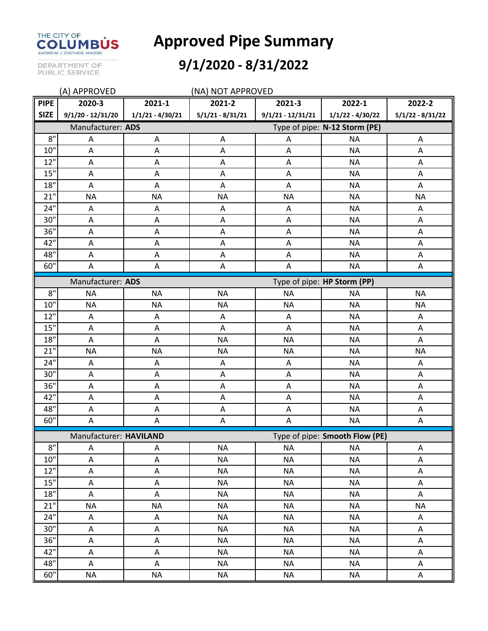

**Approved Pipe Summary**

DEPARTMENT OF<br>PUBLIC SERVICE

## **9/1/2020 - 8/31/2022**

| (A) APPROVED<br>(NA) NOT APPROVED                        |                                                  |                    |                           |                               |                    |                    |  |
|----------------------------------------------------------|--------------------------------------------------|--------------------|---------------------------|-------------------------------|--------------------|--------------------|--|
| <b>PIPE</b>                                              | 2020-3                                           | 2021-1             | 2021-2                    | 2021-3                        | 2022-1             | 2022-2             |  |
| <b>SIZE</b>                                              | $9/1/20 - 12/31/20$                              | $1/1/21 - 4/30/21$ | $5/1/21 - 8/31/21$        | $9/1/21 - 12/31/21$           | $1/1/22 - 4/30/22$ | $5/1/22 - 8/31/22$ |  |
|                                                          | Manufacturer: ADS                                |                    |                           | Type of pipe: N-12 Storm (PE) |                    |                    |  |
| 8"                                                       | Α                                                | Α                  | A                         | Α                             | <b>NA</b>          | A                  |  |
| 10"                                                      | A                                                | Α                  | A                         | A                             | <b>NA</b>          | A                  |  |
| 12"                                                      | Α                                                | A                  | A                         | A                             | <b>NA</b>          | A                  |  |
| 15"                                                      | A                                                | A                  | $\mathsf A$               | A                             | <b>NA</b>          | $\mathsf A$        |  |
| $18"$                                                    | Α                                                | A                  | A                         | A                             | <b>NA</b>          | A                  |  |
| 21 <sup>1</sup>                                          | <b>NA</b>                                        | <b>NA</b>          | <b>NA</b>                 | <b>NA</b>                     | <b>NA</b>          | <b>NA</b>          |  |
| 24"                                                      | Α                                                | Α                  | A                         | Α                             | <b>NA</b>          | A                  |  |
| 30"                                                      | A                                                | A                  | A                         | A                             | <b>NA</b>          | A                  |  |
| 36"                                                      | $\boldsymbol{\mathsf{A}}$                        | A                  | $\mathsf A$               | A                             | <b>NA</b>          | $\mathsf A$        |  |
| 42"                                                      | Α                                                | A                  | $\boldsymbol{\mathsf{A}}$ | A                             | <b>NA</b>          | A                  |  |
| 48"                                                      | A                                                | A                  | $\mathsf A$               | A                             | <b>NA</b>          | $\mathsf A$        |  |
| 60"                                                      | Α                                                | A                  | A                         | A                             | <b>NA</b>          | Α                  |  |
|                                                          | Manufacturer: ADS<br>Type of pipe: HP Storm (PP) |                    |                           |                               |                    |                    |  |
| $8"$                                                     | <b>NA</b>                                        | <b>NA</b>          | <b>NA</b>                 | <b>NA</b>                     | <b>NA</b>          | <b>NA</b>          |  |
| 10"                                                      | <b>NA</b>                                        | <b>NA</b>          | <b>NA</b>                 | <b>NA</b>                     | <b>NA</b>          | <b>NA</b>          |  |
| 12"                                                      | Α                                                | Α                  | A                         | A                             | <b>NA</b>          | Α                  |  |
| 15"                                                      | Α                                                | Α                  | A                         | A                             | <b>NA</b>          | Α                  |  |
| 18"                                                      | A                                                | A                  | <b>NA</b>                 | <b>NA</b>                     | <b>NA</b>          | A                  |  |
| 21"                                                      | <b>NA</b>                                        | <b>NA</b>          | <b>NA</b>                 | <b>NA</b>                     | <b>NA</b>          | <b>NA</b>          |  |
| 24"                                                      | A                                                | Α                  | A                         | A                             | <b>NA</b>          | A                  |  |
| 30"                                                      | A                                                | A                  | $\mathsf A$               | A                             | <b>NA</b>          | A                  |  |
| 36"                                                      | Α                                                | A                  | A                         | A                             | <b>NA</b>          | A                  |  |
| 42"                                                      | A                                                | Α                  | A                         | A                             | <b>NA</b>          | A                  |  |
| 48"                                                      | A                                                | Α                  | A                         | A                             | <b>NA</b>          | Α                  |  |
| 60"                                                      | Α                                                | Α                  | A                         | A                             | <b>NA</b>          | A                  |  |
| Type of pipe: Smooth Flow (PE)<br>Manufacturer: HAVILAND |                                                  |                    |                           |                               |                    |                    |  |
| 8"                                                       | A                                                | A                  | <b>NA</b>                 | <b>NA</b>                     | <b>NA</b>          | A                  |  |
| 10"                                                      | A                                                | $\mathsf A$        | <b>NA</b>                 | <b>NA</b>                     | <b>NA</b>          | $\mathsf A$        |  |
| 12"                                                      | $\mathsf A$                                      | A                  | <b>NA</b>                 | <b>NA</b>                     | <b>NA</b>          | A                  |  |
| 15"                                                      | A                                                | A                  | <b>NA</b>                 | <b>NA</b>                     | <b>NA</b>          | A                  |  |
| $18"$                                                    | A                                                | A                  | <b>NA</b>                 | <b>NA</b>                     | <b>NA</b>          | $\mathsf A$        |  |
| 21"                                                      | <b>NA</b>                                        | <b>NA</b>          | <b>NA</b>                 | <b>NA</b>                     | <b>NA</b>          | <b>NA</b>          |  |
| 24"                                                      | $\mathsf A$                                      | A                  | <b>NA</b>                 | <b>NA</b>                     | <b>NA</b>          | A                  |  |
| 30"                                                      | A                                                | A                  | <b>NA</b>                 | <b>NA</b>                     | <b>NA</b>          | A                  |  |
| 36"                                                      | $\mathsf A$                                      | A                  | <b>NA</b>                 | <b>NA</b>                     | <b>NA</b>          | A                  |  |
| 42"                                                      | A                                                | A                  | <b>NA</b>                 | <b>NA</b>                     | <b>NA</b>          | A                  |  |
| 48"                                                      | A                                                | A                  | <b>NA</b>                 | <b>NA</b>                     | <b>NA</b>          | A                  |  |
| 60"                                                      | <b>NA</b>                                        | <b>NA</b>          | <b>NA</b>                 | <b>NA</b>                     | <b>NA</b>          | A                  |  |